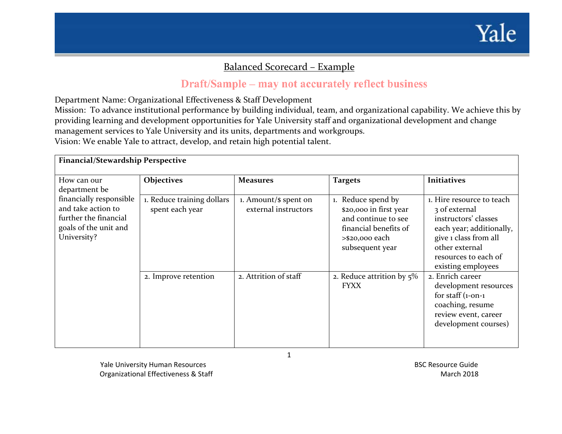

## <u> Balanced Scorecard – Example</u>

## Draft/Sample – may not accurately reflect business

Department Name: Organizational Effectiveness & Staff Development

Mission: To advance institutional performance by building individual, team, and organizational capability. We achieve this by providing learning and development opportunities for Yale University staff and organizational development and change managemen<sup>t</sup> services to Yale University and its units, departments and workgroups. Vision: We enable Yale to attract, develop, and retain high potential talent.

**Financial/Stewardship Perspective** How can our department be financially responsible and take action to further the financial goals of the unit and University? **Objectives Measures Targets Initiatives** 1. Reduce training dollars spen<sup>t</sup> each year 1. Amount/\$ spen<sup>t</sup> on external instructors1. Reduce spend by \$20,000 in first year and continue to see financial benefits of >\$20,000 each subsequent year 1. Hire resource to teach3 of external instructors' classeseach year; additionally, give <sup>1</sup> class from all other external resources to each of existing employees 2. Improve retention 2. Attrition of staff 2. Reduce attrition by  $5\%$ FYXX2. Enrich career development resources for staff (1‐on‐<sup>1</sup> coaching, resume review event, career development courses)

Yale University Human Resources BSC Resource Guide Organizational Effectiveness & Staff March 2018

1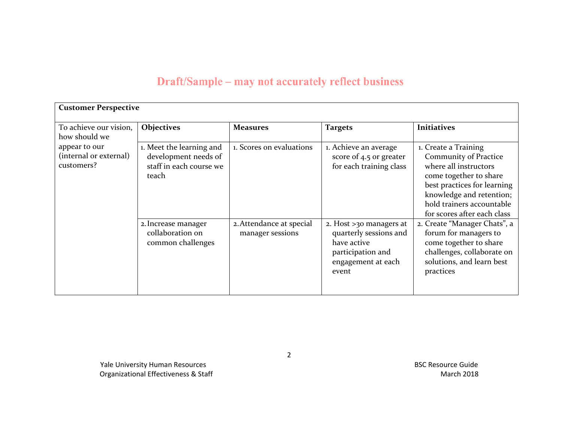## Draft/Sample – may not accurately reflect business

| <b>Customer Perspective</b>                                            |                                                                                      |                                              |                                                                                                                      |                                                                                                                                                                                                                         |  |  |  |
|------------------------------------------------------------------------|--------------------------------------------------------------------------------------|----------------------------------------------|----------------------------------------------------------------------------------------------------------------------|-------------------------------------------------------------------------------------------------------------------------------------------------------------------------------------------------------------------------|--|--|--|
| To achieve our vision,                                                 | Objectives                                                                           | <b>Measures</b>                              | <b>Targets</b>                                                                                                       | <b>Initiatives</b>                                                                                                                                                                                                      |  |  |  |
| how should we<br>appear to our<br>(internal or external)<br>customers? | 1. Meet the learning and<br>development needs of<br>staff in each course we<br>teach | 1. Scores on evaluations                     | 1. Achieve an average<br>score of 4.5 or greater<br>for each training class                                          | 1. Create a Training<br>Community of Practice<br>where all instructors<br>come together to share<br>best practices for learning<br>knowledge and retention;<br>hold trainers accountable<br>for scores after each class |  |  |  |
|                                                                        | 2. Increase manager<br>collaboration on<br>common challenges                         | 2. Attendance at special<br>manager sessions | 2. Host >30 managers at<br>quarterly sessions and<br>have active<br>participation and<br>engagement at each<br>event | 2. Create "Manager Chats", a<br>forum for managers to<br>come together to share<br>challenges, collaborate on<br>solutions, and learn best<br>practices                                                                 |  |  |  |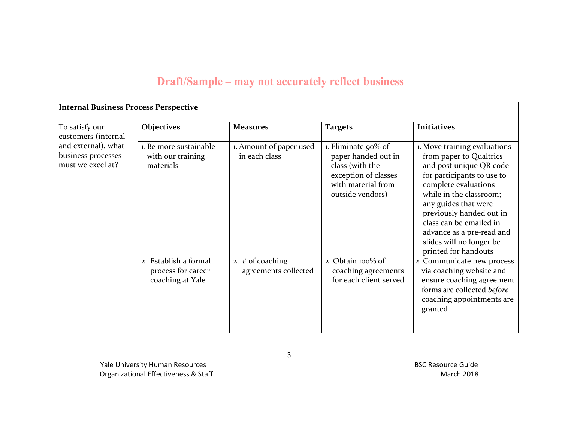## Draft/Sample – may not accurately reflect business

| <b>Internal Business Process Perspective</b>                   |                                                                 |                                          |                                                                                                                                 |                                                                                                                                                                                                                                                                                                                                     |  |  |  |  |
|----------------------------------------------------------------|-----------------------------------------------------------------|------------------------------------------|---------------------------------------------------------------------------------------------------------------------------------|-------------------------------------------------------------------------------------------------------------------------------------------------------------------------------------------------------------------------------------------------------------------------------------------------------------------------------------|--|--|--|--|
| To satisfy our<br>customers (internal                          | <b>Objectives</b>                                               | <b>Measures</b>                          | <b>Targets</b>                                                                                                                  | <b>Initiatives</b>                                                                                                                                                                                                                                                                                                                  |  |  |  |  |
| and external), what<br>business processes<br>must we excel at? | 1. Be more sustainable<br>with our training<br>materials        | 1. Amount of paper used<br>in each class | 1. Eliminate 90% of<br>paper handed out in<br>class (with the<br>exception of classes<br>with material from<br>outside vendors) | 1. Move training evaluations<br>from paper to Qualtrics<br>and post unique QR code<br>for participants to use to<br>complete evaluations<br>while in the classroom;<br>any guides that were<br>previously handed out in<br>class can be emailed in<br>advance as a pre-read and<br>slides will no longer be<br>printed for handouts |  |  |  |  |
|                                                                | 2. Establish a formal<br>process for career<br>coaching at Yale | 2. # of coaching<br>agreements collected | 2. Obtain 100% of<br>coaching agreements<br>for each client served                                                              | 2. Communicate new process<br>via coaching website and<br>ensure coaching agreement<br>forms are collected before<br>coaching appointments are<br>granted                                                                                                                                                                           |  |  |  |  |